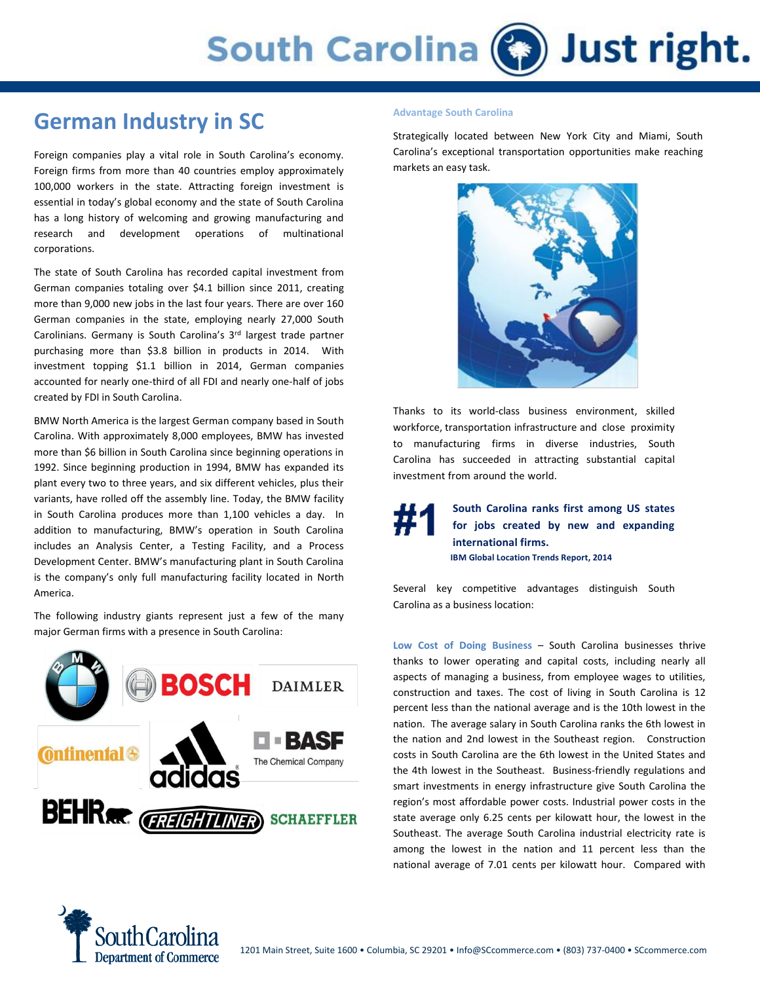## **German Industry in SC**

Foreign companies play a vital role in South Carolina's economy. Foreign firms from more than 40 countries employ approximately 100,000 workers in the state. Attracting foreign investment is essential in today's global economy and the state of South Carolina has a long history of welcoming and growing manufacturing and research and development operations of multinational corporations.

The state of South Carolina has recorded capital investment from German companies totaling over \$4.1 billion since 2011, creating more than 9,000 new jobs in the last four years. There are over 160 German companies in the state, employing nearly 27,000 South Carolinians. Germany is South Carolina's 3<sup>rd</sup> largest trade partner purchasing more than \$3.8 billion in products in 2014. With investment topping \$1.1 billion in 2014, German companies accounted for nearly one-third of all FDI and nearly one-half of jobs created by FDI in South Carolina.

BMW North America is the largest German company based in South Carolina. With approximately 8,000 employees, BMW has invested more than \$6 billion in South Carolina since beginning operations in 1992. Since beginning production in 1994, BMW has expanded its plant every two to three years, and six different vehicles, plus their variants, have rolled off the assembly line. Today, the BMW facility in South Carolina produces more than 1,100 vehicles a day. In addition to manufacturing, BMW's operation in South Carolina includes an Analysis Center, a Testing Facility, and a Process Development Center. BMW's manufacturing plant in South Carolina is the company's only full manufacturing facility located in North America.

The following industry giants represent just a few of the many major German firms with a presence in South Carolina:



### **Advantage South Carolina**

Strategically located between New York City and Miami, South Carolina's exceptional transportation opportunities make reaching markets an easy task.



Thanks to its world-class business environment, skilled workforce, transportation infrastructure and close proximity to manufacturing firms in diverse industries, South Carolina has succeeded in attracting substantial capital investment from around the world.

> **South Carolina ranks first among US states for jobs created by new and expanding international firms. IBM Global Location Trends Report, 2014**

Several key competitive advantages distinguish South Carolina as a business location:

**Low Cost of Doing Business** – South Carolina businesses thrive thanks to lower operating and capital costs, including nearly all aspects of managing a business, from employee wages to utilities, construction and taxes. The cost of living in South Carolina is 12 percent less than the national average and is the 10th lowest in the nation. The average salary in South Carolina ranks the 6th lowest in the nation and 2nd lowest in the Southeast region. Construction costs in South Carolina are the 6th lowest in the United States and the 4th lowest in the Southeast. Business-friendly regulations and smart investments in energy infrastructure give South Carolina the region's most affordable power costs. Industrial power costs in the state average only 6.25 cents per kilowatt hour, the lowest in the Southeast. The average South Carolina industrial electricity rate is among the lowest in the nation and 11 percent less than the national average of 7.01 cents per kilowatt hour. Compared with

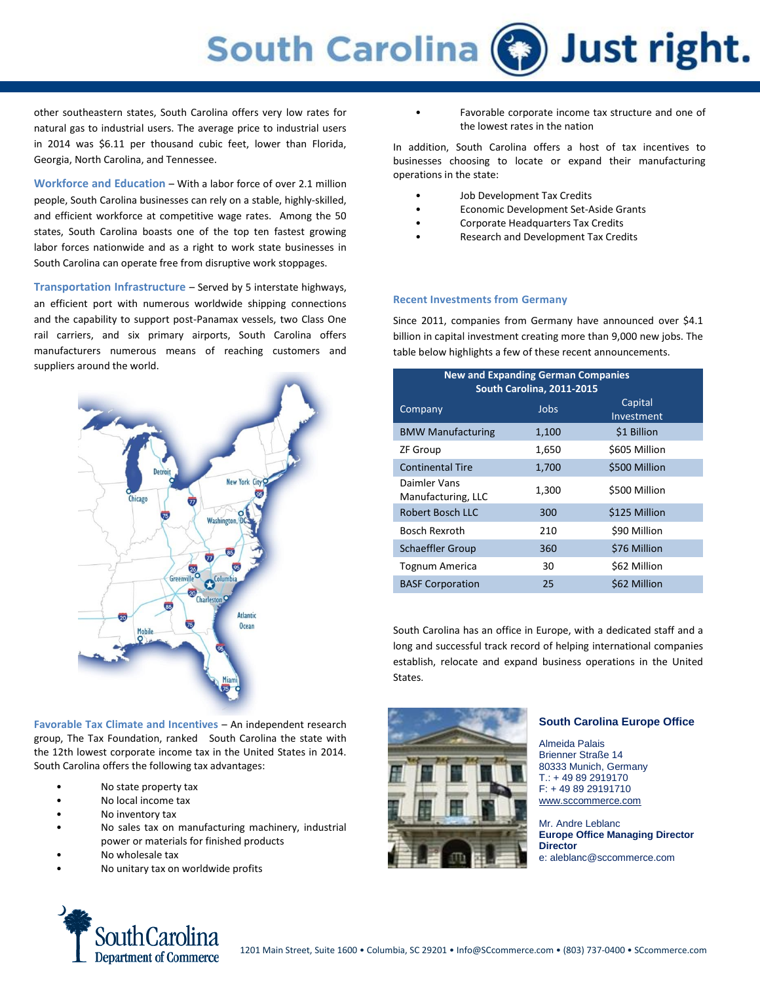# **South Carolina (3)** Just right.

other southeastern states, South Carolina offers very low rates for natural gas to industrial users. The average price to industrial users in 2014 was \$6.11 per thousand cubic feet, lower than Florida, Georgia, North Carolina, and Tennessee.

**Workforce and Education** – With a labor force of over 2.1 million people, South Carolina businesses can rely on a stable, highly-skilled, and efficient workforce at competitive wage rates. Among the 50 states, South Carolina boasts one of the top ten fastest growing labor forces nationwide and as a right to work state businesses in South Carolina can operate free from disruptive work stoppages.

**Transportation Infrastructure** – Served by 5 interstate highways, an efficient port with numerous worldwide shipping connections and the capability to support post-Panamax vessels, two Class One rail carriers, and six primary airports, South Carolina offers manufacturers numerous means of reaching customers and suppliers around the world.



**Favorable Tax Climate and Incentives** – An independent research group, The Tax Foundation, ranked South Carolina the state with the 12th lowest corporate income tax in the United States in 2014. South Carolina offers the following tax advantages:

- No state property tax
- No local income tax
- No inventory tax
- No sales tax on manufacturing machinery, industrial power or materials for finished products
- No wholesale tax
- No unitary tax on worldwide profits

Favorable corporate income tax structure and one of the lowest rates in the nation

In addition, South Carolina offers a host of tax incentives to businesses choosing to locate or expand their manufacturing operations in the state:

- Job Development Tax Credits
- Economic Development Set-Aside Grants
- Corporate Headquarters Tax Credits
- Research and Development Tax Credits

#### **Recent Investments from Germany**

Since 2011, companies from Germany have announced over \$4.1 billion in capital investment creating more than 9,000 new jobs. The table below highlights a few of these recent announcements.

| <b>New and Expanding German Companies</b><br><b>South Carolina, 2011-2015</b> |       |                       |
|-------------------------------------------------------------------------------|-------|-----------------------|
| Company                                                                       | Jobs  | Capital<br>Investment |
| <b>BMW Manufacturing</b>                                                      | 1,100 | \$1 Billion           |
| <b>ZF Group</b>                                                               | 1,650 | \$605 Million         |
| <b>Continental Tire</b>                                                       | 1,700 | \$500 Million         |
| Daimler Vans<br>Manufacturing, LLC                                            | 1,300 | \$500 Million         |
| Robert Bosch LLC                                                              | 300   | \$125 Million         |
| <b>Bosch Rexroth</b>                                                          | 210   | \$90 Million          |
| <b>Schaeffler Group</b>                                                       | 360   | \$76 Million          |
| <b>Tognum America</b>                                                         | 30    | \$62 Million          |
| <b>BASF Corporation</b>                                                       | 25    | \$62 Million          |

South Carolina has an office in Europe, with a dedicated staff and a long and successful track record of helping international companies establish, relocate and expand business operations in the United States.



### **South Carolina Europe Office**

Almeida Palais Brienner Straße 14 80333 Munich, Germany T.: + 49 89 2919170 F: + 49 89 29191710 [www.sccommerce.com](http://www.sccommerce.com/)

Mr. Andre Leblanc **Europe Office Managing Director Director** e: aleblanc@sccommerce.com